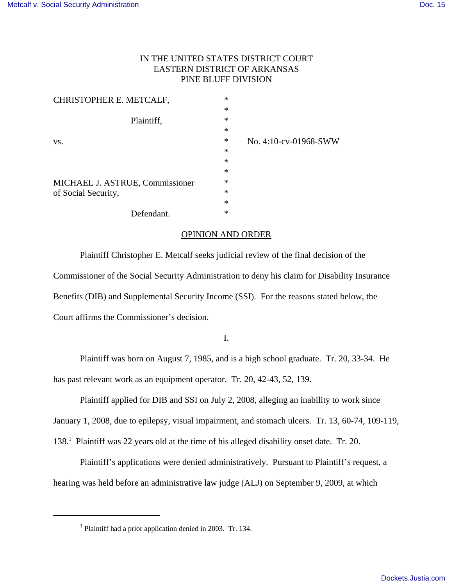# IN THE UNITED STATES DISTRICT COURT EASTERN DISTRICT OF ARKANSAS PINE BLUFF DIVISION

| CHRISTOPHER E. METCALF,         | $\ast$ |                       |
|---------------------------------|--------|-----------------------|
|                                 | $\ast$ |                       |
| Plaintiff,                      | $\ast$ |                       |
|                                 | $\ast$ |                       |
| VS.                             | $\ast$ | No. 4:10-cv-01968-SWW |
|                                 | $\ast$ |                       |
|                                 | $\ast$ |                       |
|                                 | $\ast$ |                       |
| MICHAEL J. ASTRUE, Commissioner | $\ast$ |                       |
| of Social Security,             | $\ast$ |                       |
|                                 | $\ast$ |                       |
| Defendant.                      | $\ast$ |                       |

## OPINION AND ORDER

Plaintiff Christopher E. Metcalf seeks judicial review of the final decision of the Commissioner of the Social Security Administration to deny his claim for Disability Insurance Benefits (DIB) and Supplemental Security Income (SSI). For the reasons stated below, the Court affirms the Commissioner's decision.

I.

Plaintiff was born on August 7, 1985, and is a high school graduate. Tr. 20, 33-34. He has past relevant work as an equipment operator. Tr. 20, 42-43, 52, 139.

Plaintiff applied for DIB and SSI on July 2, 2008, alleging an inability to work since

January 1, 2008, due to epilepsy, visual impairment, and stomach ulcers. Tr. 13, 60-74, 109-119,

138.<sup>1</sup> Plaintiff was 22 years old at the time of his alleged disability onset date. Tr. 20.

Plaintiff's applications were denied administratively. Pursuant to Plaintiff's request, a hearing was held before an administrative law judge (ALJ) on September 9, 2009, at which

<sup>1</sup> Plaintiff had a prior application denied in 2003. Tr. 134.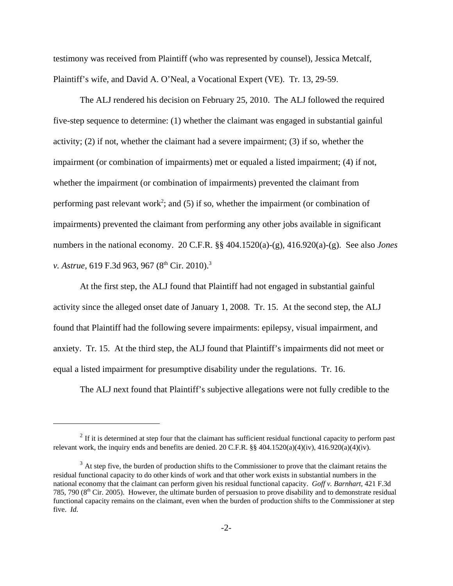testimony was received from Plaintiff (who was represented by counsel), Jessica Metcalf, Plaintiff's wife, and David A. O'Neal, a Vocational Expert (VE). Tr. 13, 29-59.

The ALJ rendered his decision on February 25, 2010. The ALJ followed the required five-step sequence to determine: (1) whether the claimant was engaged in substantial gainful activity; (2) if not, whether the claimant had a severe impairment; (3) if so, whether the impairment (or combination of impairments) met or equaled a listed impairment; (4) if not, whether the impairment (or combination of impairments) prevented the claimant from performing past relevant work<sup>2</sup>; and (5) if so, whether the impairment (or combination of impairments) prevented the claimant from performing any other jobs available in significant numbers in the national economy. 20 C.F.R. §§ 404.1520(a)-(g), 416.920(a)-(g). See also *Jones v. Astrue*, 619 F.3d 963, 967 (8<sup>th</sup> Cir. 2010).<sup>3</sup>

At the first step, the ALJ found that Plaintiff had not engaged in substantial gainful activity since the alleged onset date of January 1, 2008. Tr. 15. At the second step, the ALJ found that Plaintiff had the following severe impairments: epilepsy, visual impairment, and anxiety. Tr. 15. At the third step, the ALJ found that Plaintiff's impairments did not meet or equal a listed impairment for presumptive disability under the regulations. Tr. 16.

The ALJ next found that Plaintiff's subjective allegations were not fully credible to the

 $2<sup>2</sup>$  If it is determined at step four that the claimant has sufficient residual functional capacity to perform past relevant work, the inquiry ends and benefits are denied. 20 C.F.R. §§ 404.1520(a)(4)(iv), 416.920(a)(4)(iv).

 $3$  At step five, the burden of production shifts to the Commissioner to prove that the claimant retains the residual functional capacity to do other kinds of work and that other work exists in substantial numbers in the national economy that the claimant can perform given his residual functional capacity. *Goff v. Barnhart*, 421 F.3d 785, 790 ( $8<sup>th</sup>$  Cir. 2005). However, the ultimate burden of persuasion to prove disability and to demonstrate residual functional capacity remains on the claimant, even when the burden of production shifts to the Commissioner at step five. *Id*.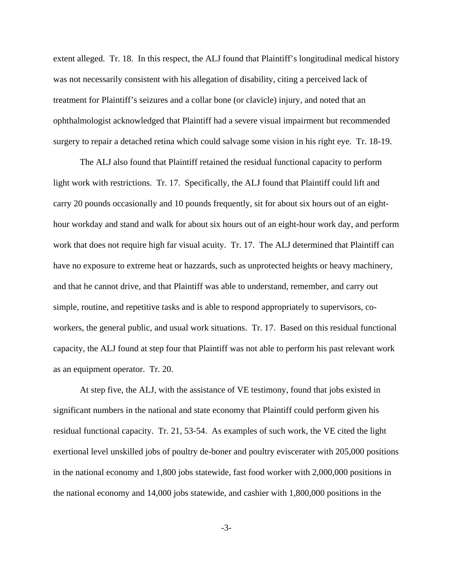extent alleged. Tr. 18. In this respect, the ALJ found that Plaintiff's longitudinal medical history was not necessarily consistent with his allegation of disability, citing a perceived lack of treatment for Plaintiff's seizures and a collar bone (or clavicle) injury, and noted that an ophthalmologist acknowledged that Plaintiff had a severe visual impairment but recommended surgery to repair a detached retina which could salvage some vision in his right eye. Tr. 18-19.

The ALJ also found that Plaintiff retained the residual functional capacity to perform light work with restrictions. Tr. 17. Specifically, the ALJ found that Plaintiff could lift and carry 20 pounds occasionally and 10 pounds frequently, sit for about six hours out of an eighthour workday and stand and walk for about six hours out of an eight-hour work day, and perform work that does not require high far visual acuity. Tr. 17. The ALJ determined that Plaintiff can have no exposure to extreme heat or hazzards, such as unprotected heights or heavy machinery, and that he cannot drive, and that Plaintiff was able to understand, remember, and carry out simple, routine, and repetitive tasks and is able to respond appropriately to supervisors, coworkers, the general public, and usual work situations. Tr. 17. Based on this residual functional capacity, the ALJ found at step four that Plaintiff was not able to perform his past relevant work as an equipment operator. Tr. 20.

At step five, the ALJ, with the assistance of VE testimony, found that jobs existed in significant numbers in the national and state economy that Plaintiff could perform given his residual functional capacity. Tr. 21, 53-54. As examples of such work, the VE cited the light exertional level unskilled jobs of poultry de-boner and poultry eviscerater with 205,000 positions in the national economy and 1,800 jobs statewide, fast food worker with 2,000,000 positions in the national economy and 14,000 jobs statewide, and cashier with 1,800,000 positions in the

-3-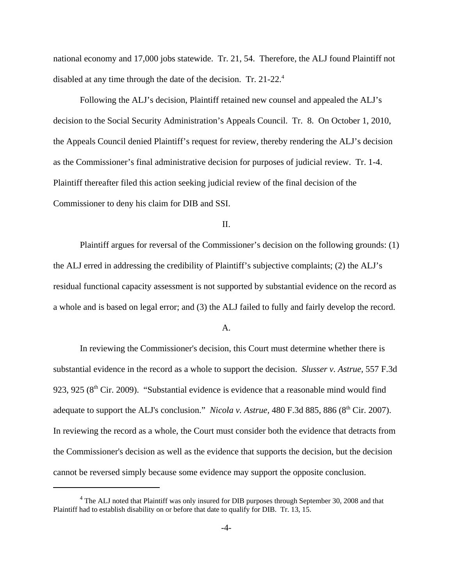national economy and 17,000 jobs statewide. Tr. 21, 54. Therefore, the ALJ found Plaintiff not disabled at any time through the date of the decision. Tr. 21-22.<sup>4</sup>

Following the ALJ's decision, Plaintiff retained new counsel and appealed the ALJ's decision to the Social Security Administration's Appeals Council. Tr. 8. On October 1, 2010, the Appeals Council denied Plaintiff's request for review, thereby rendering the ALJ's decision as the Commissioner's final administrative decision for purposes of judicial review. Tr. 1-4. Plaintiff thereafter filed this action seeking judicial review of the final decision of the Commissioner to deny his claim for DIB and SSI.

### II.

Plaintiff argues for reversal of the Commissioner's decision on the following grounds: (1) the ALJ erred in addressing the credibility of Plaintiff's subjective complaints; (2) the ALJ's residual functional capacity assessment is not supported by substantial evidence on the record as a whole and is based on legal error; and (3) the ALJ failed to fully and fairly develop the record.

#### A.

In reviewing the Commissioner's decision, this Court must determine whether there is substantial evidence in the record as a whole to support the decision. *Slusser v. Astrue,* 557 F.3d 923, 925 ( $8<sup>th</sup>$  Cir. 2009). "Substantial evidence is evidence that a reasonable mind would find adequate to support the ALJ's conclusion." *Nicola v. Astrue,* 480 F.3d 885, 886 (8<sup>th</sup> Cir. 2007). In reviewing the record as a whole, the Court must consider both the evidence that detracts from the Commissioner's decision as well as the evidence that supports the decision, but the decision cannot be reversed simply because some evidence may support the opposite conclusion.

<sup>&</sup>lt;sup>4</sup> The ALJ noted that Plaintiff was only insured for DIB purposes through September 30, 2008 and that Plaintiff had to establish disability on or before that date to qualify for DIB. Tr. 13, 15.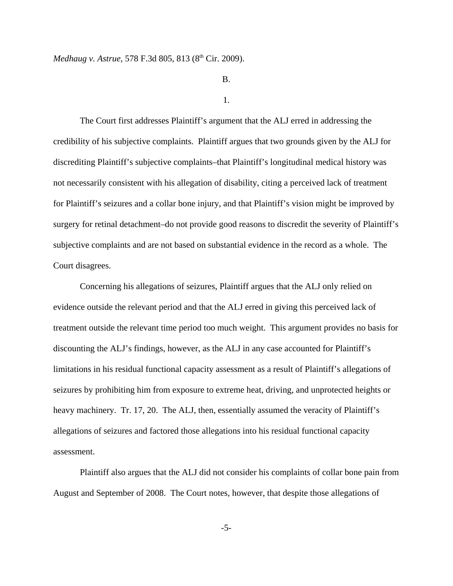## B.

#### 1.

The Court first addresses Plaintiff's argument that the ALJ erred in addressing the credibility of his subjective complaints. Plaintiff argues that two grounds given by the ALJ for discrediting Plaintiff's subjective complaints–that Plaintiff's longitudinal medical history was not necessarily consistent with his allegation of disability, citing a perceived lack of treatment for Plaintiff's seizures and a collar bone injury, and that Plaintiff's vision might be improved by surgery for retinal detachment–do not provide good reasons to discredit the severity of Plaintiff's subjective complaints and are not based on substantial evidence in the record as a whole. The Court disagrees.

Concerning his allegations of seizures, Plaintiff argues that the ALJ only relied on evidence outside the relevant period and that the ALJ erred in giving this perceived lack of treatment outside the relevant time period too much weight. This argument provides no basis for discounting the ALJ's findings, however, as the ALJ in any case accounted for Plaintiff's limitations in his residual functional capacity assessment as a result of Plaintiff's allegations of seizures by prohibiting him from exposure to extreme heat, driving, and unprotected heights or heavy machinery. Tr. 17, 20. The ALJ, then, essentially assumed the veracity of Plaintiff's allegations of seizures and factored those allegations into his residual functional capacity assessment.

Plaintiff also argues that the ALJ did not consider his complaints of collar bone pain from August and September of 2008. The Court notes, however, that despite those allegations of

-5-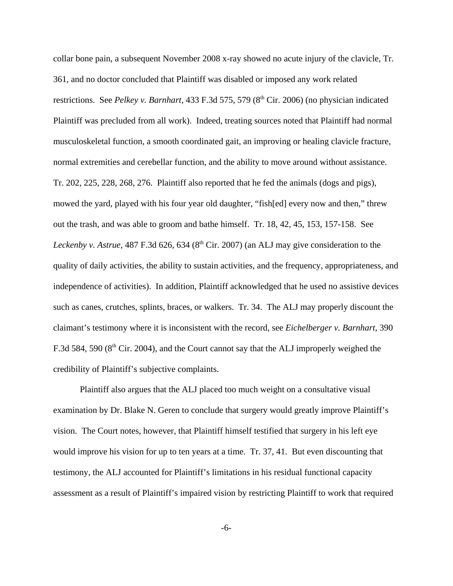collar bone pain, a subsequent November 2008 x-ray showed no acute injury of the clavicle, Tr. 361, and no doctor concluded that Plaintiff was disabled or imposed any work related restrictions. See *Pelkey v. Barnhart*, 433 F.3d 575, 579 (8<sup>th</sup> Cir. 2006) (no physician indicated Plaintiff was precluded from all work). Indeed, treating sources noted that Plaintiff had normal musculoskeletal function, a smooth coordinated gait, an improving or healing clavicle fracture, normal extremities and cerebellar function, and the ability to move around without assistance. Tr. 202, 225, 228, 268, 276. Plaintiff also reported that he fed the animals (dogs and pigs), mowed the yard, played with his four year old daughter, "fish[ed] every now and then," threw out the trash, and was able to groom and bathe himself. Tr. 18, 42, 45, 153, 157-158. See *Leckenby v. Astrue*, 487 F.3d 626, 634 (8<sup>th</sup> Cir. 2007) (an ALJ may give consideration to the quality of daily activities, the ability to sustain activities, and the frequency, appropriateness, and independence of activities). In addition, Plaintiff acknowledged that he used no assistive devices such as canes, crutches, splints, braces, or walkers. Tr. 34. The ALJ may properly discount the claimant's testimony where it is inconsistent with the record, see *Eichelberger v. Barnhart*, 390 F.3d 584, 590 ( $8<sup>th</sup>$  Cir. 2004), and the Court cannot say that the ALJ improperly weighed the credibility of Plaintiff's subjective complaints.

Plaintiff also argues that the ALJ placed too much weight on a consultative visual examination by Dr. Blake N. Geren to conclude that surgery would greatly improve Plaintiff's vision. The Court notes, however, that Plaintiff himself testified that surgery in his left eye would improve his vision for up to ten years at a time. Tr. 37, 41. But even discounting that testimony, the ALJ accounted for Plaintiff's limitations in his residual functional capacity assessment as a result of Plaintiff's impaired vision by restricting Plaintiff to work that required

-6-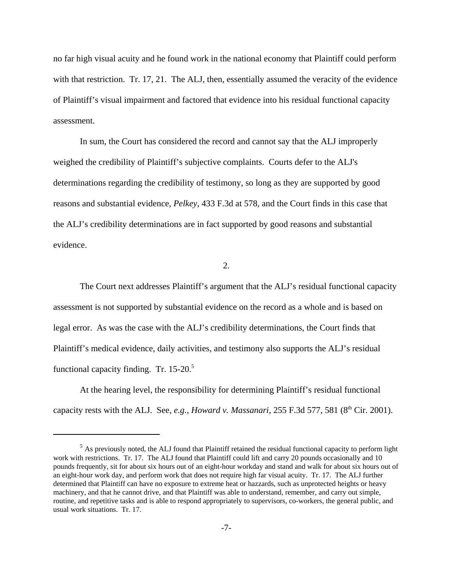no far high visual acuity and he found work in the national economy that Plaintiff could perform with that restriction. Tr. 17, 21. The ALJ, then, essentially assumed the veracity of the evidence of Plaintiff's visual impairment and factored that evidence into his residual functional capacity assessment.

In sum, the Court has considered the record and cannot say that the ALJ improperly weighed the credibility of Plaintiff's subjective complaints. Courts defer to the ALJ's determinations regarding the credibility of testimony, so long as they are supported by good reasons and substantial evidence, *Pelkey*, 433 F.3d at 578, and the Court finds in this case that the ALJ's credibility determinations are in fact supported by good reasons and substantial evidence.

2.

The Court next addresses Plaintiff's argument that the ALJ's residual functional capacity assessment is not supported by substantial evidence on the record as a whole and is based on legal error. As was the case with the ALJ's credibility determinations, the Court finds that Plaintiff's medical evidence, daily activities, and testimony also supports the ALJ's residual functional capacity finding. Tr. 15-20.<sup>5</sup>

At the hearing level, the responsibility for determining Plaintiff's residual functional capacity rests with the ALJ. See, *e.g.*, *Howard v. Massanari*, 255 F.3d 577, 581 (8<sup>th</sup> Cir. 2001).

<sup>&</sup>lt;sup>5</sup> As previously noted, the ALJ found that Plaintiff retained the residual functional capacity to perform light work with restrictions. Tr. 17. The ALJ found that Plaintiff could lift and carry 20 pounds occasionally and 10 pounds frequently, sit for about six hours out of an eight-hour workday and stand and walk for about six hours out of an eight-hour work day, and perform work that does not require high far visual acuity. Tr. 17. The ALJ further determined that Plaintiff can have no exposure to extreme heat or hazzards, such as unprotected heights or heavy machinery, and that he cannot drive, and that Plaintiff was able to understand, remember, and carry out simple, routine, and repetitive tasks and is able to respond appropriately to supervisors, co-workers, the general public, and usual work situations. Tr. 17.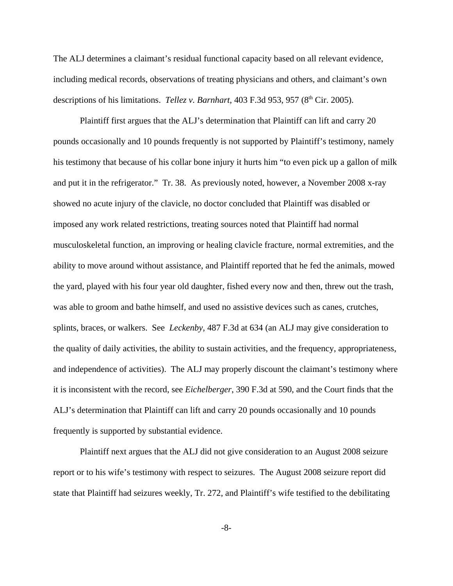The ALJ determines a claimant's residual functional capacity based on all relevant evidence, including medical records, observations of treating physicians and others, and claimant's own descriptions of his limitations. *Tellez v. Barnhart*, 403 F.3d 953, 957 (8<sup>th</sup> Cir. 2005).

Plaintiff first argues that the ALJ's determination that Plaintiff can lift and carry 20 pounds occasionally and 10 pounds frequently is not supported by Plaintiff's testimony, namely his testimony that because of his collar bone injury it hurts him "to even pick up a gallon of milk and put it in the refrigerator." Tr. 38. As previously noted, however, a November 2008 x-ray showed no acute injury of the clavicle, no doctor concluded that Plaintiff was disabled or imposed any work related restrictions, treating sources noted that Plaintiff had normal musculoskeletal function, an improving or healing clavicle fracture, normal extremities, and the ability to move around without assistance, and Plaintiff reported that he fed the animals, mowed the yard, played with his four year old daughter, fished every now and then, threw out the trash, was able to groom and bathe himself, and used no assistive devices such as canes, crutches, splints, braces, or walkers. See *Leckenby*, 487 F.3d at 634 (an ALJ may give consideration to the quality of daily activities, the ability to sustain activities, and the frequency, appropriateness, and independence of activities). The ALJ may properly discount the claimant's testimony where it is inconsistent with the record, see *Eichelberger*, 390 F.3d at 590, and the Court finds that the ALJ's determination that Plaintiff can lift and carry 20 pounds occasionally and 10 pounds frequently is supported by substantial evidence.

Plaintiff next argues that the ALJ did not give consideration to an August 2008 seizure report or to his wife's testimony with respect to seizures. The August 2008 seizure report did state that Plaintiff had seizures weekly, Tr. 272, and Plaintiff's wife testified to the debilitating

-8-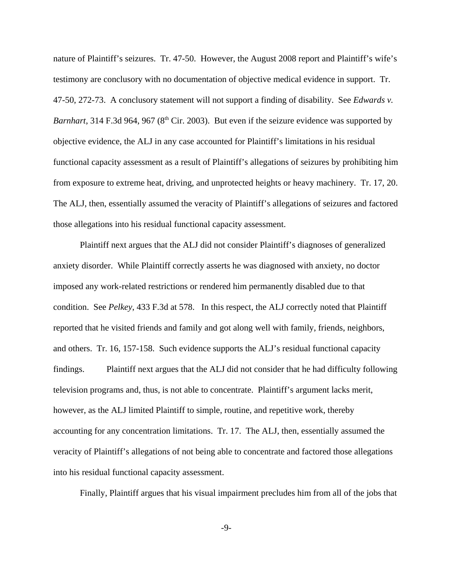nature of Plaintiff's seizures. Tr. 47-50. However, the August 2008 report and Plaintiff's wife's testimony are conclusory with no documentation of objective medical evidence in support. Tr. 47-50, 272-73. A conclusory statement will not support a finding of disability. See *Edwards v. Barnhart*, 314 F.3d 964, 967 (8<sup>th</sup> Cir. 2003). But even if the seizure evidence was supported by objective evidence, the ALJ in any case accounted for Plaintiff's limitations in his residual functional capacity assessment as a result of Plaintiff's allegations of seizures by prohibiting him from exposure to extreme heat, driving, and unprotected heights or heavy machinery. Tr. 17, 20. The ALJ, then, essentially assumed the veracity of Plaintiff's allegations of seizures and factored those allegations into his residual functional capacity assessment.

Plaintiff next argues that the ALJ did not consider Plaintiff's diagnoses of generalized anxiety disorder. While Plaintiff correctly asserts he was diagnosed with anxiety, no doctor imposed any work-related restrictions or rendered him permanently disabled due to that condition. See *Pelkey*, 433 F.3d at 578. In this respect, the ALJ correctly noted that Plaintiff reported that he visited friends and family and got along well with family, friends, neighbors, and others. Tr. 16, 157-158. Such evidence supports the ALJ's residual functional capacity findings. Plaintiff next argues that the ALJ did not consider that he had difficulty following television programs and, thus, is not able to concentrate. Plaintiff's argument lacks merit, however, as the ALJ limited Plaintiff to simple, routine, and repetitive work, thereby accounting for any concentration limitations. Tr. 17. The ALJ, then, essentially assumed the veracity of Plaintiff's allegations of not being able to concentrate and factored those allegations into his residual functional capacity assessment.

Finally, Plaintiff argues that his visual impairment precludes him from all of the jobs that

-9-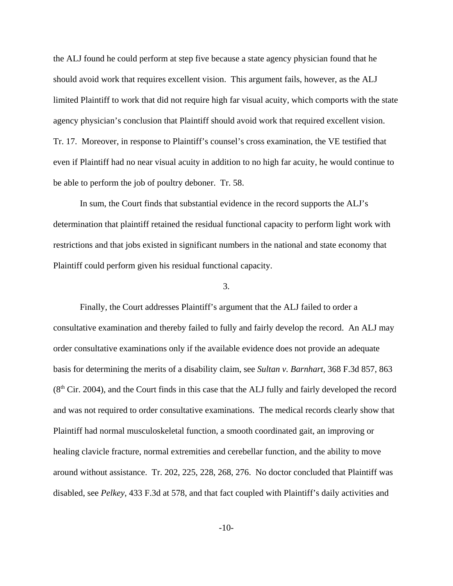the ALJ found he could perform at step five because a state agency physician found that he should avoid work that requires excellent vision. This argument fails, however, as the ALJ limited Plaintiff to work that did not require high far visual acuity, which comports with the state agency physician's conclusion that Plaintiff should avoid work that required excellent vision. Tr. 17. Moreover, in response to Plaintiff's counsel's cross examination, the VE testified that even if Plaintiff had no near visual acuity in addition to no high far acuity, he would continue to be able to perform the job of poultry deboner. Tr. 58.

In sum, the Court finds that substantial evidence in the record supports the ALJ's determination that plaintiff retained the residual functional capacity to perform light work with restrictions and that jobs existed in significant numbers in the national and state economy that Plaintiff could perform given his residual functional capacity.

## 3.

Finally, the Court addresses Plaintiff's argument that the ALJ failed to order a consultative examination and thereby failed to fully and fairly develop the record. An ALJ may order consultative examinations only if the available evidence does not provide an adequate basis for determining the merits of a disability claim, see *Sultan v. Barnhart*, 368 F.3d 857, 863  $(8<sup>th</sup> Cir. 2004)$ , and the Court finds in this case that the ALJ fully and fairly developed the record and was not required to order consultative examinations. The medical records clearly show that Plaintiff had normal musculoskeletal function, a smooth coordinated gait, an improving or healing clavicle fracture, normal extremities and cerebellar function, and the ability to move around without assistance. Tr. 202, 225, 228, 268, 276. No doctor concluded that Plaintiff was disabled, see *Pelkey*, 433 F.3d at 578, and that fact coupled with Plaintiff's daily activities and